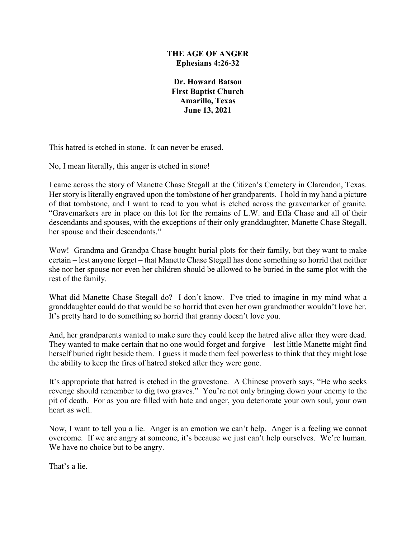### **THE AGE OF ANGER Ephesians 4:26-32**

**Dr. Howard Batson First Baptist Church Amarillo, Texas June 13, 2021**

This hatred is etched in stone. It can never be erased.

No, I mean literally, this anger is etched in stone!

I came across the story of Manette Chase Stegall at the Citizen's Cemetery in Clarendon, Texas. Her story is literally engraved upon the tombstone of her grandparents. I hold in my hand a picture of that tombstone, and I want to read to you what is etched across the gravemarker of granite. "Gravemarkers are in place on this lot for the remains of L.W. and Effa Chase and all of their descendants and spouses, with the exceptions of their only granddaughter, Manette Chase Stegall, her spouse and their descendants."

Wow! Grandma and Grandpa Chase bought burial plots for their family, but they want to make certain – lest anyone forget – that Manette Chase Stegall has done something so horrid that neither she nor her spouse nor even her children should be allowed to be buried in the same plot with the rest of the family.

What did Manette Chase Stegall do? I don't know. I've tried to imagine in my mind what a granddaughter could do that would be so horrid that even her own grandmother wouldn't love her. It's pretty hard to do something so horrid that granny doesn't love you.

And, her grandparents wanted to make sure they could keep the hatred alive after they were dead. They wanted to make certain that no one would forget and forgive – lest little Manette might find herself buried right beside them. I guess it made them feel powerless to think that they might lose the ability to keep the fires of hatred stoked after they were gone.

It's appropriate that hatred is etched in the gravestone. A Chinese proverb says, "He who seeks revenge should remember to dig two graves." You're not only bringing down your enemy to the pit of death. For as you are filled with hate and anger, you deteriorate your own soul, your own heart as well.

Now, I want to tell you a lie. Anger is an emotion we can't help. Anger is a feeling we cannot overcome. If we are angry at someone, it's because we just can't help ourselves. We're human. We have no choice but to be angry.

That's a lie.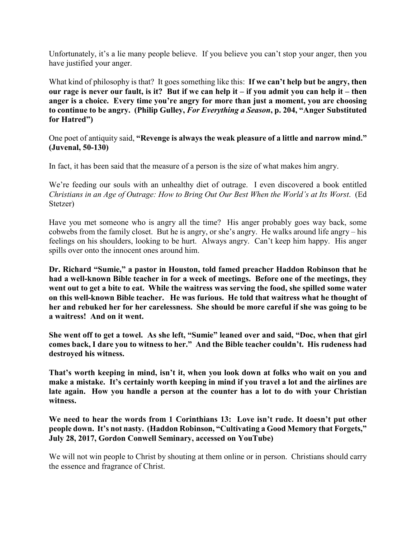Unfortunately, it's a lie many people believe. If you believe you can't stop your anger, then you have justified your anger.

What kind of philosophy is that? It goes something like this: **If we can't help but be angry, then our rage is never our fault, is it? But if we can help it – if you admit you can help it – then anger is a choice. Every time you're angry for more than just a moment, you are choosing to continue to be angry. (Philip Gulley,** *For Everything a Season***, p. 204, "Anger Substituted for Hatred")**

One poet of antiquity said, **"Revenge is always the weak pleasure of a little and narrow mind." (Juvenal, 50-130)**

In fact, it has been said that the measure of a person is the size of what makes him angry.

We're feeding our souls with an unhealthy diet of outrage. I even discovered a book entitled *Christians in an Age of Outrage: How to Bring Out Our Best When the World's at Its Worst*. (Ed Stetzer)

Have you met someone who is angry all the time? His anger probably goes way back, some cobwebs from the family closet. But he is angry, or she's angry. He walks around life angry – his feelings on his shoulders, looking to be hurt. Always angry. Can't keep him happy. His anger spills over onto the innocent ones around him.

**Dr. Richard "Sumie," a pastor in Houston, told famed preacher Haddon Robinson that he had a well-known Bible teacher in for a week of meetings. Before one of the meetings, they went out to get a bite to eat. While the waitress was serving the food, she spilled some water on this well-known Bible teacher. He was furious. He told that waitress what he thought of her and rebuked her for her carelessness. She should be more careful if she was going to be a waitress! And on it went.**

**She went off to get a towel. As she left, "Sumie" leaned over and said, "Doc, when that girl comes back, I dare you to witness to her." And the Bible teacher couldn't. His rudeness had destroyed his witness.**

**That's worth keeping in mind, isn't it, when you look down at folks who wait on you and make a mistake. It's certainly worth keeping in mind if you travel a lot and the airlines are late again. How you handle a person at the counter has a lot to do with your Christian witness.**

**We need to hear the words from 1 Corinthians 13: Love isn't rude. It doesn't put other people down. It's not nasty. (Haddon Robinson, "Cultivating a Good Memory that Forgets," July 28, 2017, Gordon Conwell Seminary, accessed on YouTube)**

We will not win people to Christ by shouting at them online or in person. Christians should carry the essence and fragrance of Christ.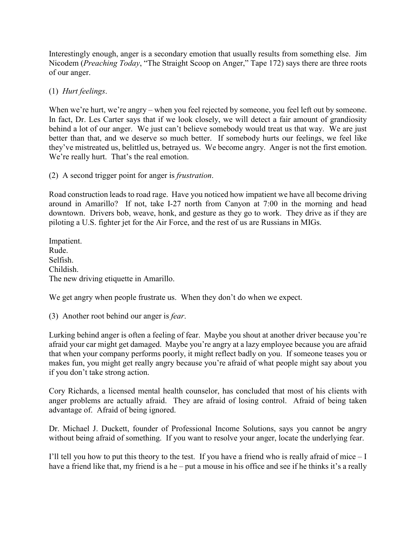Interestingly enough, anger is a secondary emotion that usually results from something else. Jim Nicodem (*Preaching Today*, "The Straight Scoop on Anger," Tape 172) says there are three roots of our anger.

# (1) *Hurt feelings*.

When we're hurt, we're angry – when you feel rejected by someone, you feel left out by someone. In fact, Dr. Les Carter says that if we look closely, we will detect a fair amount of grandiosity behind a lot of our anger. We just can't believe somebody would treat us that way. We are just better than that, and we deserve so much better. If somebody hurts our feelings, we feel like they've mistreated us, belittled us, betrayed us. We become angry. Anger is not the first emotion. We're really hurt. That's the real emotion.

# (2) A second trigger point for anger is *frustration*.

Road construction leads to road rage. Have you noticed how impatient we have all become driving around in Amarillo? If not, take I-27 north from Canyon at 7:00 in the morning and head downtown. Drivers bob, weave, honk, and gesture as they go to work. They drive as if they are piloting a U.S. fighter jet for the Air Force, and the rest of us are Russians in MIGs.

Impatient. Rude. Selfish. Childish. The new driving etiquette in Amarillo.

We get angry when people frustrate us. When they don't do when we expect.

(3) Another root behind our anger is *fear*.

Lurking behind anger is often a feeling of fear. Maybe you shout at another driver because you're afraid your car might get damaged. Maybe you're angry at a lazy employee because you are afraid that when your company performs poorly, it might reflect badly on you. If someone teases you or makes fun, you might get really angry because you're afraid of what people might say about you if you don't take strong action.

Cory Richards, a licensed mental health counselor, has concluded that most of his clients with anger problems are actually afraid. They are afraid of losing control. Afraid of being taken advantage of. Afraid of being ignored.

Dr. Michael J. Duckett, founder of Professional Income Solutions, says you cannot be angry without being afraid of something. If you want to resolve your anger, locate the underlying fear.

I'll tell you how to put this theory to the test. If you have a friend who is really afraid of mice  $-I$ have a friend like that, my friend is a he – put a mouse in his office and see if he thinks it's a really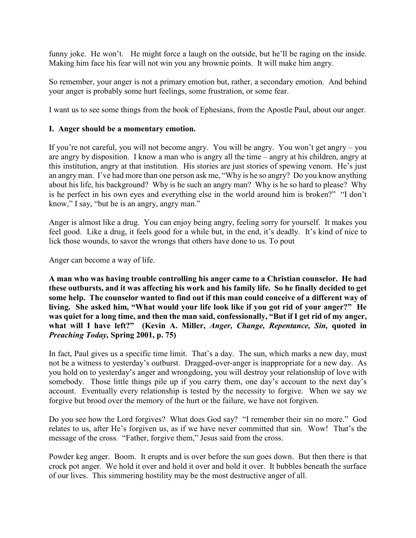funny joke. He won't. He might force a laugh on the outside, but he'll be raging on the inside. Making him face his fear will not win you any brownie points. It will make him angry.

So remember, your anger is not a primary emotion but, rather, a secondary emotion. And behind your anger is probably some hurt feelings, some frustration, or some fear.

I want us to see some things from the book of Ephesians, from the Apostle Paul, about our anger.

### **I. Anger should be a momentary emotion.**

If you're not careful, you will not become angry. You will be angry. You won't get angry – you are angry by disposition. I know a man who is angry all the time – angry at his children, angry at this institution, angry at that institution. His stories are just stories of spewing venom. He's just an angry man. I've had more than one person ask me, "Why is he so angry? Do you know anything about his life, his background? Why is he such an angry man? Why is he so hard to please? Why is he perfect in his own eyes and everything else in the world around him is broken?" "I don't know," I say, "but he is an angry, angry man."

Anger is almost like a drug. You can enjoy being angry, feeling sorry for yourself. It makes you feel good. Like a drug, it feels good for a while but, in the end, it's deadly. It's kind of nice to lick those wounds, to savor the wrongs that others have done to us. To pout

Anger can become a way of life.

**A man who was having trouble controlling his anger came to a Christian counselor. He had these outbursts, and it was affecting his work and his family life. So he finally decided to get some help. The counselor wanted to find out if this man could conceive of a different way of living. She asked him, "What would your life look like if you got rid of your anger?" He was quiet for a long time, and then the man said, confessionally, "But if I get rid of my anger, what will I have left?" (Kevin A. Miller,** *Anger, Change, Repentance, Sin,* **quoted in**  *Preaching Today,* **Spring 2001, p. 75)**

In fact, Paul gives us a specific time limit. That's a day. The sun, which marks a new day, must not be a witness to yesterday's outburst. Dragged-over-anger is inappropriate for a new day. As you hold on to yesterday's anger and wrongdoing, you will destroy your relationship of love with somebody. Those little things pile up if you carry them, one day's account to the next day's account. Eventually every relationship is tested by the necessity to forgive. When we say we forgive but brood over the memory of the hurt or the failure, we have not forgiven.

Do you see how the Lord forgives? What does God say? "I remember their sin no more." God relates to us, after He's forgiven us, as if we have never committed that sin. Wow! That's the message of the cross. "Father, forgive them," Jesus said from the cross.

Powder keg anger. Boom. It erupts and is over before the sun goes down. But then there is that crock pot anger. We hold it over and hold it over and hold it over. It bubbles beneath the surface of our lives. This simmering hostility may be the most destructive anger of all.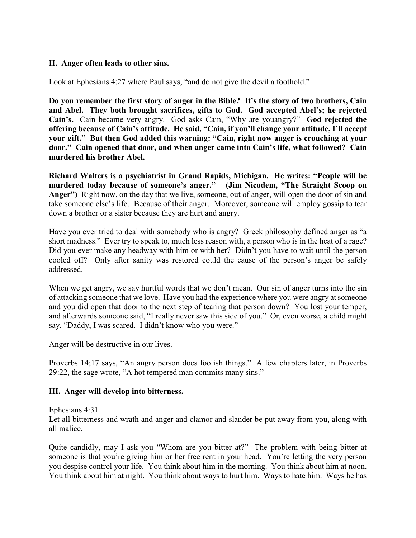### **II. Anger often leads to other sins.**

Look at Ephesians 4:27 where Paul says, "and do not give the devil a foothold."

**Do you remember the first story of anger in the Bible? It's the story of two brothers, Cain and Abel. They both brought sacrifices, gifts to God. God accepted Abel's; he rejected Cain's.** Cain became very angry. God asks Cain, "Why are youangry?" **God rejected the offering because of Cain's attitude. He said, "Cain, if you'll change your attitude, I'll accept your gift." But then God added this warning: "Cain, right now anger is crouching at your door." Cain opened that door, and when anger came into Cain's life, what followed? Cain murdered his brother Abel.**

**Richard Walters is a psychiatrist in Grand Rapids, Michigan. He writes: "People will be murdered today because of someone's anger." (Jim Nicodem, "The Straight Scoop on Anger")** Right now, on the day that we live, someone, out of anger, will open the door of sin and take someone else's life. Because of their anger. Moreover, someone will employ gossip to tear down a brother or a sister because they are hurt and angry.

Have you ever tried to deal with somebody who is angry? Greek philosophy defined anger as "a short madness." Ever try to speak to, much less reason with, a person who is in the heat of a rage? Did you ever make any headway with him or with her? Didn't you have to wait until the person cooled off? Only after sanity was restored could the cause of the person's anger be safely addressed.

When we get angry, we say hurtful words that we don't mean. Our sin of anger turns into the sin of attacking someone that we love. Have you had the experience where you were angry at someone and you did open that door to the next step of tearing that person down? You lost your temper, and afterwards someone said, "I really never saw this side of you." Or, even worse, a child might say, "Daddy, I was scared. I didn't know who you were."

Anger will be destructive in our lives.

Proverbs 14;17 says, "An angry person does foolish things." A few chapters later, in Proverbs 29:22, the sage wrote, "A hot tempered man commits many sins."

#### **III. Anger will develop into bitterness.**

Ephesians 4:31

Let all bitterness and wrath and anger and clamor and slander be put away from you, along with all malice.

Quite candidly, may I ask you "Whom are you bitter at?" The problem with being bitter at someone is that you're giving him or her free rent in your head. You're letting the very person you despise control your life. You think about him in the morning. You think about him at noon. You think about him at night. You think about ways to hurt him. Ways to hate him. Ways he has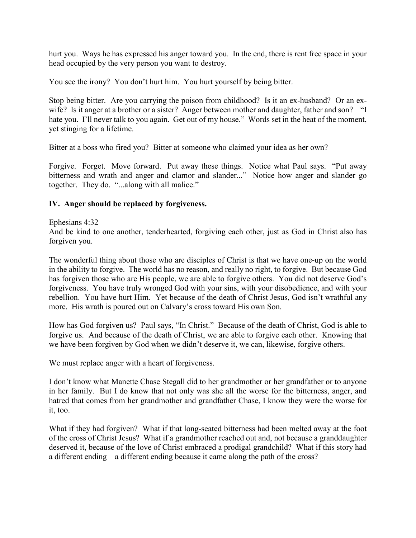hurt you. Ways he has expressed his anger toward you. In the end, there is rent free space in your head occupied by the very person you want to destroy.

You see the irony? You don't hurt him. You hurt yourself by being bitter.

Stop being bitter. Are you carrying the poison from childhood? Is it an ex-husband? Or an exwife? Is it anger at a brother or a sister? Anger between mother and daughter, father and son? "I hate you. I'll never talk to you again. Get out of my house." Words set in the heat of the moment, yet stinging for a lifetime.

Bitter at a boss who fired you? Bitter at someone who claimed your idea as her own?

Forgive. Forget. Move forward. Put away these things. Notice what Paul says. "Put away bitterness and wrath and anger and clamor and slander..." Notice how anger and slander go together. They do. "...along with all malice."

## **IV. Anger should be replaced by forgiveness.**

#### Ephesians 4:32

And be kind to one another, tenderhearted, forgiving each other, just as God in Christ also has forgiven you.

The wonderful thing about those who are disciples of Christ is that we have one-up on the world in the ability to forgive. The world has no reason, and really no right, to forgive. But because God has forgiven those who are His people, we are able to forgive others. You did not deserve God's forgiveness. You have truly wronged God with your sins, with your disobedience, and with your rebellion. You have hurt Him. Yet because of the death of Christ Jesus, God isn't wrathful any more. His wrath is poured out on Calvary's cross toward His own Son.

How has God forgiven us? Paul says, "In Christ." Because of the death of Christ, God is able to forgive us. And because of the death of Christ, we are able to forgive each other. Knowing that we have been forgiven by God when we didn't deserve it, we can, likewise, forgive others.

We must replace anger with a heart of forgiveness.

I don't know what Manette Chase Stegall did to her grandmother or her grandfather or to anyone in her family. But I do know that not only was she all the worse for the bitterness, anger, and hatred that comes from her grandmother and grandfather Chase, I know they were the worse for it, too.

What if they had forgiven? What if that long-seated bitterness had been melted away at the foot of the cross of Christ Jesus? What if a grandmother reached out and, not because a granddaughter deserved it, because of the love of Christ embraced a prodigal grandchild? What if this story had a different ending – a different ending because it came along the path of the cross?